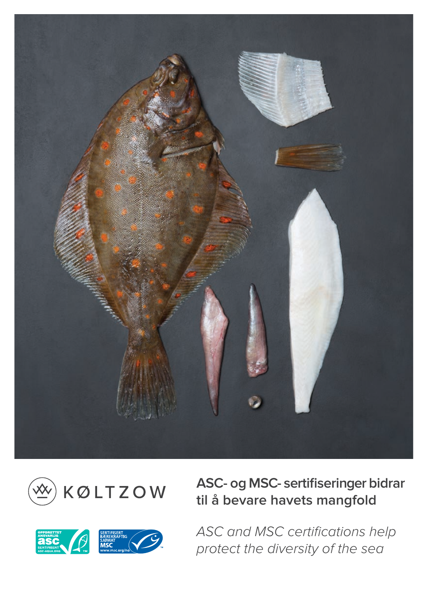



**ASC- og MSC- sertifiseringer bidrar til å bevare havets mangfold**



*ASC and MSC certifications help protect the diversity of the sea*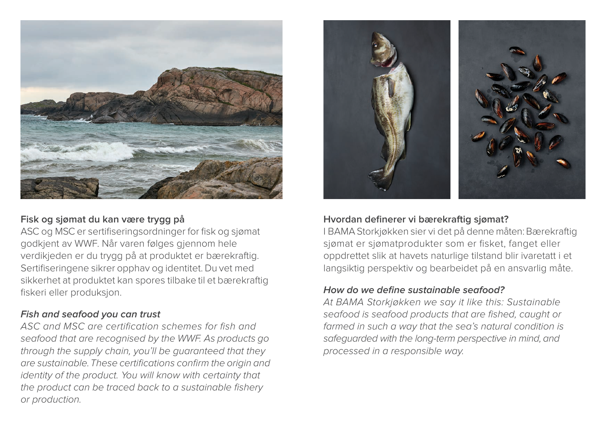

### **Fisk og sjømat du kan være trygg på**

ASC og MSC er sertifiseringsordninger for fisk og sjømat godkjent av WWF. Når varen følges gjennom hele verdikjeden er du trygg på at produktet er bærekraftig. Sertifiseringene sikrer opphav og identitet. Du vet med sikkerhet at produktet kan spores tilbake til et bærekraftig fiskeri eller produksjon.

### **Fish and seafood you can trust**

*ASC and MSC are certification schemes for fish and seafood that are recognised by the WWF. As products go through the supply chain, you'll be guaranteed that they are sustainable. These certifications confirm the origin and identity of the product. You will know with certainty that the product can be traced back to a sustainable fishery or production.*



### **Hvordan definerer vi bærekraftig sjømat?**

I BAMA Storkjøkken sier vi det på denne måten: Bærekraftig sjømat er sjømatprodukter som er fisket, fanget eller oppdrettet slik at havets naturlige tilstand blir ivaretatt i et langsiktig perspektiv og bearbeidet på en ansvarlig måte.

#### **How do we define sustainable seafood?**

*At BAMA Storkjøkken we say it like this: Sustainable seafood is seafood products that are fished, caught or farmed in such a way that the sea's natural condition is safeguarded with the long-term perspective in mind, and processed in a responsible way.*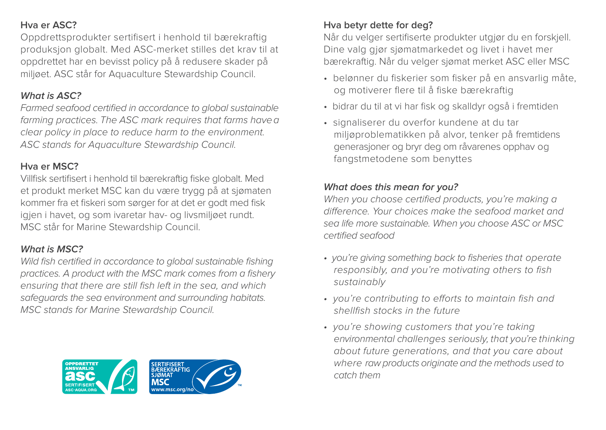### **Hva er ASC?**

Oppdrettsprodukter sertifisert i henhold til bærekraftig produksjon globalt. Med ASC-merket stilles det krav til at oppdrettet har en bevisst policy på å redusere skader på miljøet. ASC står for Aquaculture Stewardship Council.

## **What is ASC?**

*Farmed seafood certified in accordance to global sustainable farming practices. The ASC mark requires that farms have a clear policy in place to reduce harm to the environment. ASC stands for* Aquaculture *Stewardship Council.*

## **Hva er MSC?**

Villfisk sertifisert i henhold til bærekraftig fiske globalt. Med et produkt merket MSC kan du være trygg på at sjømaten kommer fra et fiskeri som sørger for at det er godt med fisk igjen i havet, og som ivaretar hav- og livsmiljøet rundt. MSC står for Marine Stewardship Council.

# **What is MSC?**

*Wild fish certified in accordance to global sustainable fishing practices. A product with the MSC mark comes from a fishery ensuring that there are still fish left in the sea, and which safeguards the sea environment and surrounding habitats. MSC stands for Marine Stewardship Council.*



# **Hva betyr dette for deg?**

Når du velger sertifiserte produkter utgjør du en forskjell. Dine valg gjør sjømatmarkedet og livet i havet mer bærekraftig. Når du velger sjømat merket ASC eller MSC

- belønner du fiskerier som fisker på en ansvarlig måte, og motiverer flere til å fiske bærekraftig
- bidrar du til at vi har fisk og skalldyr også i fremtiden
- signaliserer du overfor kundene at du tar miljøproblematikken på alvor, tenker på fremtidens generasjoner og bryr deg om råvarenes opphav og fangstmetodene som benyttes

# **What does this mean for you?**

*When you choose certified products, you're making a difference. Your choices make the seafood market and sea life more sustainable. When you choose ASC or MSC certified seafood*

- *you're giving something back to fisheries that operate responsibly, and you're motivating others to fish sustainably*
- *you're contributing to efforts to maintain fish and shellfish stocks in the future*
- *you're showing customers that you're taking environmental challenges seriously, that you're thinking about future generations, and that you care about where raw products originate and the methods used to catch them*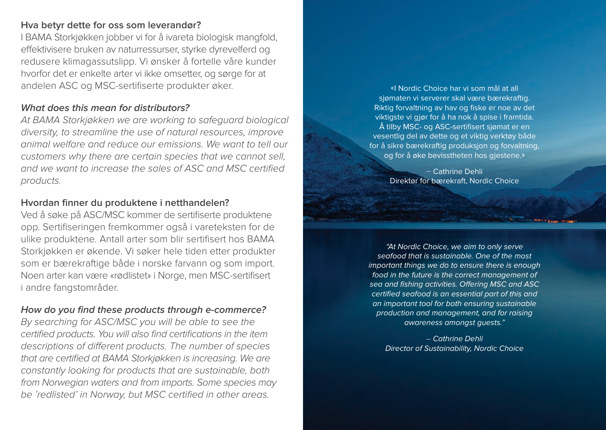#### **Hva betyr dette for oss som leverandør?**

I BAMA Storkjøkken jobber vi for å ivareta biologisk mangfold, effektivisere bruken av naturressurser, styrke dyrevelferd og redusere klimagassutslipp. Vi ønsker å fortelle våre kunder hvorfor det er enkelte arter vi ikke omsetter, og sørge for at andelen ASC og MSC-sertifiserte produkter øker.

#### **What does this mean for distributors?**

*At BAMA Storkjøkken we are working to safeguard biological diversity, to streamline the use of natural resources, improve animal welfare and reduce our emissions. We want to tell our customers why there are certain species that we cannot sell, and we want to increase the sales of ASC and MSC certified products.*

### **Hvordan finner du produktene i netthandelen?**

Ved å søke på ASC/MSC kommer de sertifiserte produktene opp. Sertifiseringen fremkommer også i vareteksten for de ulike produktene. Antall arter som blir sertifisert hos BAMA Storkjøkken er økende. Vi søker hele tiden etter produkter som er bærekraftige både i norske farvann og som import. Noen arter kan være «rødlistet» i Norge, men MSC-sertifisert i andre fangstområder.

### **How do you find these products through e-commerce?**

*By searching for ASC/MSC you will be able to see the certified products. You will also find certifications in the item descriptions of different products. The number of species that are certified at BAMA Storkjøkken is increasing. We are constantly looking for products that are sustainable, both from Norwegian waters and from imports. Some species may be 'redlisted' in Norway, but MSC certified in other areas.*

«I Nordic Choice har vi som mål at all sjømaten vi serverer skal være bærekraftig. Riktig forvaltning av hav og fiske er noe av det viktigste vi gjør for å ha nok å spise i framtida. Å tilby MSC- og ASC-sertifisert sjømat er en vesentlig del av dette og et viktig verktøy både for å sikre bærekraftig produksjon og forvaltning, og for å øke bevisstheten hos gjestene.»

> – Cathrine Dehli Direktør for bærekraft, Nordic Choice

"At Nordic Choice, we aim to only serve seafood that is sustainable. One of the most important things we do to ensure there is enough food in the future is the correct management of sea and fishing activities. Offering MSC and ASC certified seafood is an essential part of this and an important tool for both ensuring sustainable production and management, and for raising awareness amongst guests."

*–* Cathrine Dehli Director of Sustainability, Nordic Choice